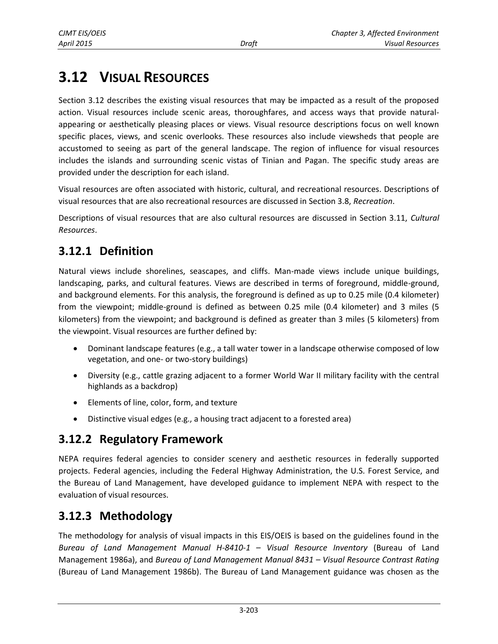# **3.12 VISUAL RESOURCES**

Section 3.12 describes the existing visual resources that may be impacted as a result of the proposed action. Visual resources include scenic areas, thoroughfares, and access ways that provide naturalappearing or aesthetically pleasing places or views. Visual resource descriptions focus on well known specific places, views, and scenic overlooks. These resources also include viewsheds that people are accustomed to seeing as part of the general landscape. The region of influence for visual resources includes the islands and surrounding scenic vistas of Tinian and Pagan. The specific study areas are provided under the description for each island.

Visual resources are often associated with historic, cultural, and recreational resources. Descriptions of visual resources that are also recreational resources are discussed in Section 3.8, *Recreation*.

Descriptions of visual resources that are also cultural resources are discussed in Section 3.11, *Cultural Resources*.

# **3.12.1 Definition**

Natural views include shorelines, seascapes, and cliffs. Man-made views include unique buildings, landscaping, parks, and cultural features. Views are described in terms of foreground, middle-ground, and background elements. For this analysis, the foreground is defined as up to 0.25 mile (0.4 kilometer) from the viewpoint; middle-ground is defined as between 0.25 mile (0.4 kilometer) and 3 miles (5 kilometers) from the viewpoint; and background is defined as greater than 3 miles (5 kilometers) from the viewpoint. Visual resources are further defined by:

- Dominant landscape features (e.g., a tall water tower in a landscape otherwise composed of low vegetation, and one- or two-story buildings)
- Diversity (e.g., cattle grazing adjacent to a former World War II military facility with the central highlands as a backdrop)
- Elements of line, color, form, and texture
- Distinctive visual edges (e.g., a housing tract adjacent to a forested area)

# **3.12.2 Regulatory Framework**

NEPA requires federal agencies to consider scenery and aesthetic resources in federally supported projects. Federal agencies, including the Federal Highway Administration, the U.S. Forest Service, and the Bureau of Land Management, have developed guidance to implement NEPA with respect to the evaluation of visual resources.

# **3.12.3 Methodology**

The methodology for analysis of visual impacts in this EIS/OEIS is based on the guidelines found in the *Bureau of Land Management Manual H-8410-1 – Visual Resource Inventory* (Bureau of Land Management 1986a), and *Bureau of Land Management Manual 8431 – Visual Resource Contrast Rating*  (Bureau of Land Management 1986b). The Bureau of Land Management guidance was chosen as the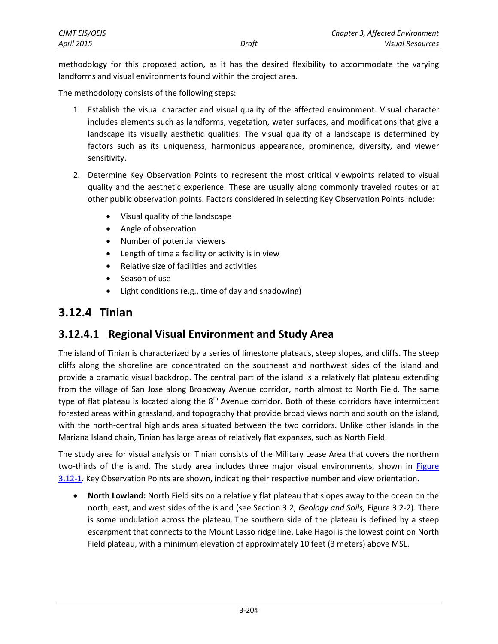| <b>CJMT EIS/OEIS</b> |       | Chapter 3, Affected Environment |
|----------------------|-------|---------------------------------|
| <b>April 2015</b>    | Draft | Visual Resources                |

methodology for this proposed action, as it has the desired flexibility to accommodate the varying landforms and visual environments found within the project area.

The methodology consists of the following steps:

- 1. Establish the visual character and visual quality of the affected environment. Visual character includes elements such as landforms, vegetation, water surfaces, and modifications that give a landscape its visually aesthetic qualities. The visual quality of a landscape is determined by factors such as its uniqueness, harmonious appearance, prominence, diversity, and viewer sensitivity.
- 2. Determine Key Observation Points to represent the most critical viewpoints related to visual quality and the aesthetic experience. These are usually along commonly traveled routes or at other public observation points. Factors considered in selecting Key Observation Points include:
	- Visual quality of the landscape
	- Angle of observation
	- Number of potential viewers
	- Length of time a facility or activity is in view
	- Relative size of facilities and activities
	- Season of use
	- Light conditions (e.g., time of day and shadowing)

# **3.12.4 Tinian**

# **3.12.4.1 Regional Visual Environment and Study Area**

The island of Tinian is characterized by a series of limestone plateaus, steep slopes, and cliffs. The steep cliffs along the shoreline are concentrated on the southeast and northwest sides of the island and provide a dramatic visual backdrop. The central part of the island is a relatively flat plateau extending from the village of San Jose along Broadway Avenue corridor, north almost to North Field. The same type of flat plateau is located along the  $8<sup>th</sup>$  Avenue corridor. Both of these corridors have intermittent forested areas within grassland, and topography that provide broad views north and south on the island, with the north-central highlands area situated between the two corridors. Unlike other islands in the Mariana Island chain, Tinian has large areas of relatively flat expanses, such as North Field.

The study area for visual analysis on Tinian consists of the Military Lease Area that covers the northern two-thirds of the island. The study area includes three major visual environments, shown in [Figure](#page-2-0)  [3.12-1.](#page-2-0) Key Observation Points are shown, indicating their respective number and view orientation.

 **North Lowland:** North Field sits on a relatively flat plateau that slopes away to the ocean on the north, east, and west sides of the island (see Section 3.2, *Geology and Soils,* Figure 3.2-2). There is some undulation across the plateau. The southern side of the plateau is defined by a steep escarpment that connects to the Mount Lasso ridge line. Lake Hagoi is the lowest point on North Field plateau, with a minimum elevation of approximately 10 feet (3 meters) above MSL.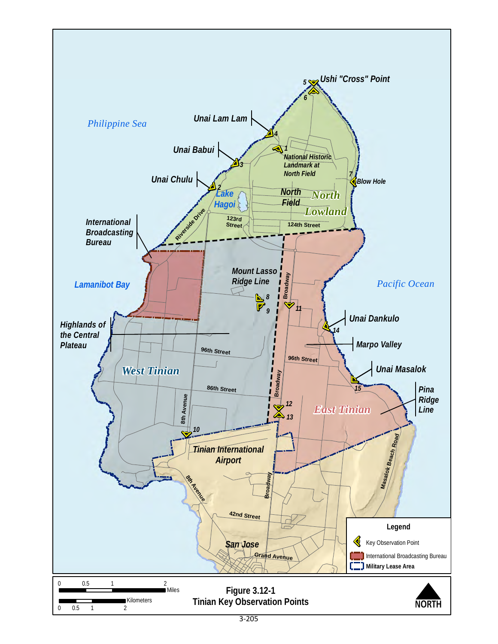<span id="page-2-0"></span>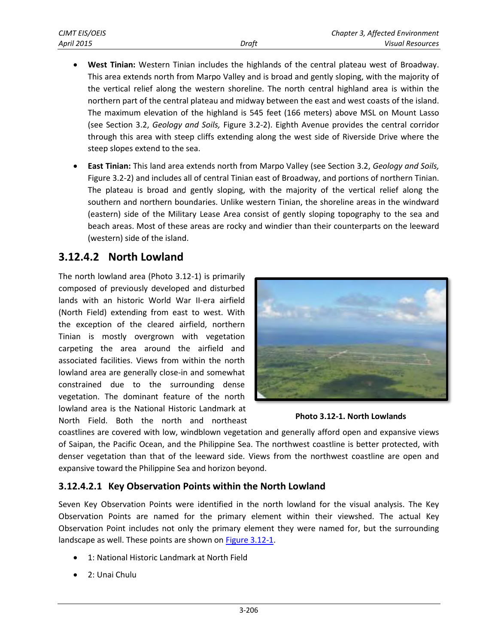- **West Tinian:** Western Tinian includes the highlands of the central plateau west of Broadway. This area extends north from Marpo Valley and is broad and gently sloping, with the majority of the vertical relief along the western shoreline. The north central highland area is within the northern part of the central plateau and midway between the east and west coasts of the island. The maximum elevation of the highland is 545 feet (166 meters) above MSL on Mount Lasso (see Section 3.2, *Geology and Soils,* Figure 3.2-2). Eighth Avenue provides the central corridor through this area with steep cliffs extending along the west side of Riverside Drive where the steep slopes extend to the sea.
- **East Tinian:** This land area extends north from Marpo Valley (see Section 3.2, *Geology and Soils,* Figure 3.2-2) and includes all of central Tinian east of Broadway, and portions of northern Tinian. The plateau is broad and gently sloping, with the majority of the vertical relief along the southern and northern boundaries. Unlike western Tinian, the shoreline areas in the windward (eastern) side of the Military Lease Area consist of gently sloping topography to the sea and beach areas. Most of these areas are rocky and windier than their counterparts on the leeward (western) side of the island.

### **3.12.4.2 North Lowland**

The north lowland area (Photo 3.12-1) is primarily composed of previously developed and disturbed lands with an historic World War II-era airfield (North Field) extending from east to west. With the exception of the cleared airfield, northern Tinian is mostly overgrown with vegetation carpeting the area around the airfield and associated facilities. Views from within the north lowland area are generally close-in and somewhat constrained due to the surrounding dense vegetation. The dominant feature of the north lowland area is the National Historic Landmark at North Field. Both the north and northeast





coastlines are covered with low, windblown vegetation and generally afford open and expansive views of Saipan, the Pacific Ocean, and the Philippine Sea. The northwest coastline is better protected, with denser vegetation than that of the leeward side. Views from the northwest coastline are open and expansive toward the Philippine Sea and horizon beyond.

#### **3.12.4.2.1 Key Observation Points within the North Lowland**

Seven Key Observation Points were identified in the north lowland for the visual analysis. The Key Observation Points are named for the primary element within their viewshed. The actual Key Observation Point includes not only the primary element they were named for, but the surrounding landscape as well. These points are shown o[n Figure 3.12-1.](#page-2-0)

- 1: National Historic Landmark at North Field
- 2: Unai Chulu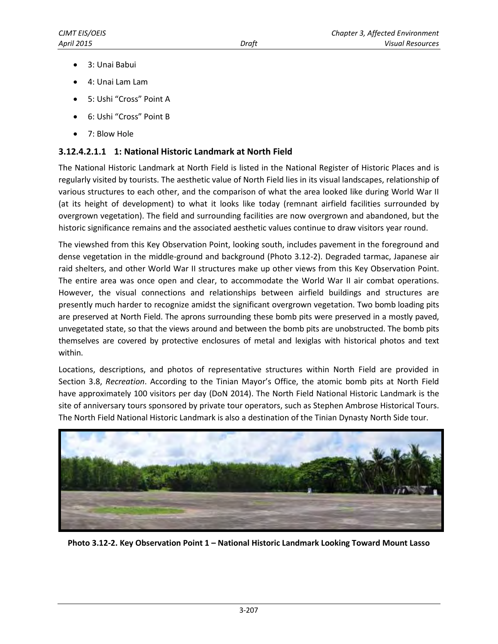- 3: Unai Babui
- 4: Unai Lam Lam
- 5: Ushi "Cross" Point A
- 6: Ushi "Cross" Point B
- 7: Blow Hole

#### **3.12.4.2.1.1 1: National Historic Landmark at North Field**

The National Historic Landmark at North Field is listed in the National Register of Historic Places and is regularly visited by tourists. The aesthetic value of North Field lies in its visual landscapes, relationship of various structures to each other, and the comparison of what the area looked like during World War II (at its height of development) to what it looks like today (remnant airfield facilities surrounded by overgrown vegetation). The field and surrounding facilities are now overgrown and abandoned, but the historic significance remains and the associated aesthetic values continue to draw visitors year round.

The viewshed from this Key Observation Point, looking south, includes pavement in the foreground and dense vegetation in the middle-ground and background (Photo 3.12-2). Degraded tarmac, Japanese air raid shelters, and other World War II structures make up other views from this Key Observation Point. The entire area was once open and clear, to accommodate the World War II air combat operations. However, the visual connections and relationships between airfield buildings and structures are presently much harder to recognize amidst the significant overgrown vegetation. Two bomb loading pits are preserved at North Field. The aprons surrounding these bomb pits were preserved in a mostly paved, unvegetated state, so that the views around and between the bomb pits are unobstructed. The bomb pits themselves are covered by protective enclosures of metal and lexiglas with historical photos and text within.

Locations, descriptions, and photos of representative structures within North Field are provided in Section 3.8, *Recreation*. According to the Tinian Mayor's Office, the atomic bomb pits at North Field have approximately 100 visitors per day (DoN 2014). The North Field National Historic Landmark is the site of anniversary tours sponsored by private tour operators, such as Stephen Ambrose Historical Tours. The North Field National Historic Landmark is also a destination of the Tinian Dynasty North Side tour.



**Photo 3.12-2. Key Observation Point 1 – National Historic Landmark Looking Toward Mount Lasso**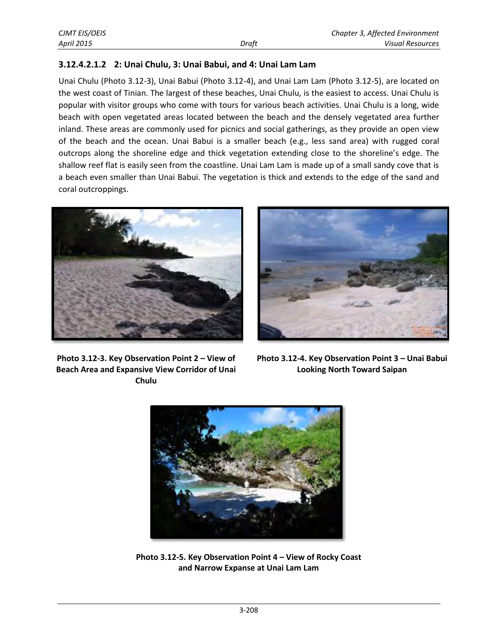#### **3.12.4.2.1.2 2: Unai Chulu, 3: Unai Babui, and 4: Unai Lam Lam**

Unai Chulu (Photo 3.12-3), Unai Babui (Photo 3.12-4), and Unai Lam Lam (Photo 3.12-5), are located on the west coast of Tinian. The largest of these beaches, Unai Chulu, is the easiest to access. Unai Chulu is popular with visitor groups who come with tours for various beach activities. Unai Chulu is a long, wide beach with open vegetated areas located between the beach and the densely vegetated area further inland. These areas are commonly used for picnics and social gatherings, as they provide an open view of the beach and the ocean. Unai Babui is a smaller beach (e.g., less sand area) with rugged coral outcrops along the shoreline edge and thick vegetation extending close to the shoreline's edge. The shallow reef flat is easily seen from the coastline. Unai Lam Lam is made up of a small sandy cove that is a beach even smaller than Unai Babui. The vegetation is thick and extends to the edge of the sand and coral outcroppings.





**Photo 3.12-3. Key Observation Point 2 – View of Beach Area and Expansive View Corridor of Unai Chulu**

**Photo 3.12-4. Key Observation Point 3 – Unai Babui Looking North Toward Saipan**



**Photo 3.12-5. Key Observation Point 4 – View of Rocky Coast and Narrow Expanse at Unai Lam Lam**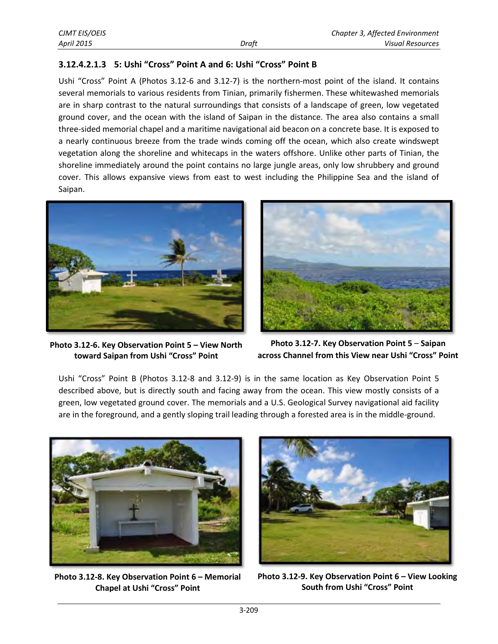#### **3.12.4.2.1.3 5: Ushi "Cross" Point A and 6: Ushi "Cross" Point B**

Ushi "Cross" Point A (Photos 3.12-6 and 3.12-7) is the northern-most point of the island. It contains several memorials to various residents from Tinian, primarily fishermen. These whitewashed memorials are in sharp contrast to the natural surroundings that consists of a landscape of green, low vegetated ground cover, and the ocean with the island of Saipan in the distance. The area also contains a small three-sided memorial chapel and a maritime navigational aid beacon on a concrete base. It is exposed to a nearly continuous breeze from the trade winds coming off the ocean, which also create windswept vegetation along the shoreline and whitecaps in the waters offshore. Unlike other parts of Tinian, the shoreline immediately around the point contains no large jungle areas, only low shrubbery and ground cover. This allows expansive views from east to west including the Philippine Sea and the island of Saipan.



**Photo 3.12-6. Key Observation Point 5 – View North toward Saipan from Ushi "Cross" Point** 



**Photo 3.12-7. Key Observation Point 5** – **Saipan across Channel from this View near Ushi "Cross" Point**

Ushi "Cross" Point B (Photos 3.12-8 and 3.12-9) is in the same location as Key Observation Point 5 described above, but is directly south and facing away from the ocean. This view mostly consists of a green, low vegetated ground cover. The memorials and a U.S. Geological Survey navigational aid facility are in the foreground, and a gently sloping trail leading through a forested area is in the middle-ground.



**Photo 3.12-8. Key Observation Point 6 – Memorial Chapel at Ushi "Cross" Point**



**Photo 3.12-9. Key Observation Point 6 – View Looking South from Ushi "Cross" Point**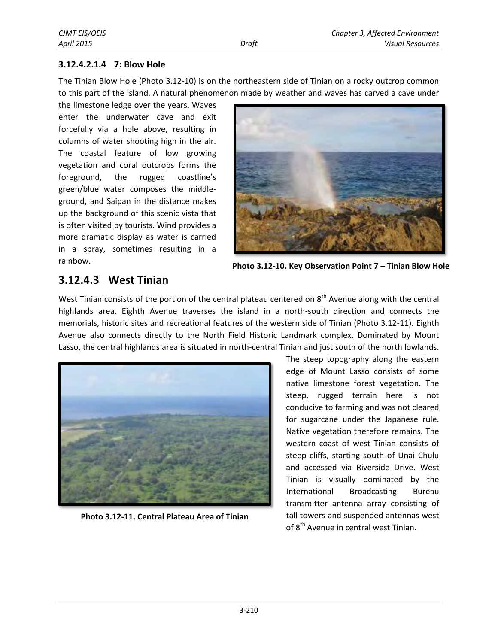#### **3.12.4.2.1.4 7: Blow Hole**

The Tinian Blow Hole (Photo 3.12-10) is on the northeastern side of Tinian on a rocky outcrop common to this part of the island. A natural phenomenon made by weather and waves has carved a cave under

the limestone ledge over the years. Waves enter the underwater cave and exit forcefully via a hole above, resulting in columns of water shooting high in the air. The coastal feature of low growing vegetation and coral outcrops forms the foreground, the rugged coastline's green/blue water composes the middleground, and Saipan in the distance makes up the background of this scenic vista that is often visited by tourists. Wind provides a more dramatic display as water is carried in a spray, sometimes resulting in a rainbow.



**Photo 3.12-10. Key Observation Point 7 – Tinian Blow Hole**

## **3.12.4.3 West Tinian**

West Tinian consists of the portion of the central plateau centered on 8<sup>th</sup> Avenue along with the central highlands area. Eighth Avenue traverses the island in a north-south direction and connects the memorials, historic sites and recreational features of the western side of Tinian (Photo 3.12-11). Eighth Avenue also connects directly to the North Field Historic Landmark complex. Dominated by Mount Lasso, the central highlands area is situated in north-central Tinian and just south of the north lowlands.



**Photo 3.12-11. Central Plateau Area of Tinian**

The steep topography along the eastern edge of Mount Lasso consists of some native limestone forest vegetation. The steep, rugged terrain here is not conducive to farming and was not cleared for sugarcane under the Japanese rule. Native vegetation therefore remains. The western coast of west Tinian consists of steep cliffs, starting south of Unai Chulu and accessed via Riverside Drive. West Tinian is visually dominated by the International Broadcasting Bureau transmitter antenna array consisting of tall towers and suspended antennas west of 8<sup>th</sup> Avenue in central west Tinian.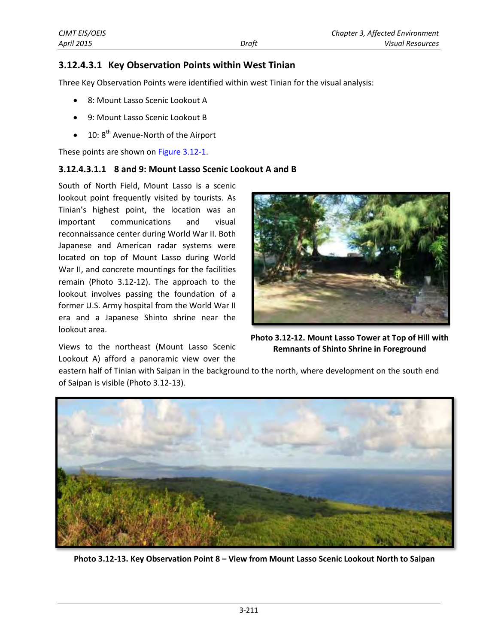#### **3.12.4.3.1 Key Observation Points within West Tinian**

Three Key Observation Points were identified within west Tinian for the visual analysis:

- 8: Mount Lasso Scenic Lookout A
- 9: Mount Lasso Scenic Lookout B
- $\bullet$  10: 8<sup>th</sup> Avenue-North of the Airport

These points are shown on **Figure 3.12-1.** 

#### **3.12.4.3.1.1 8 and 9: Mount Lasso Scenic Lookout A and B**

South of North Field, Mount Lasso is a scenic lookout point frequently visited by tourists. As Tinian's highest point, the location was an important communications and visual reconnaissance center during World War II. Both Japanese and American radar systems were located on top of Mount Lasso during World War II, and concrete mountings for the facilities remain (Photo 3.12-12). The approach to the lookout involves passing the foundation of a former U.S. Army hospital from the World War II era and a Japanese Shinto shrine near the lookout area.

Views to the northeast (Mount Lasso Scenic Lookout A) afford a panoramic view over the



**Photo 3.12-12. Mount Lasso Tower at Top of Hill with Remnants of Shinto Shrine in Foreground**

eastern half of Tinian with Saipan in the background to the north, where development on the south end of Saipan is visible (Photo 3.12-13).



**Photo 3.12-13. Key Observation Point 8 – View from Mount Lasso Scenic Lookout North to Saipan**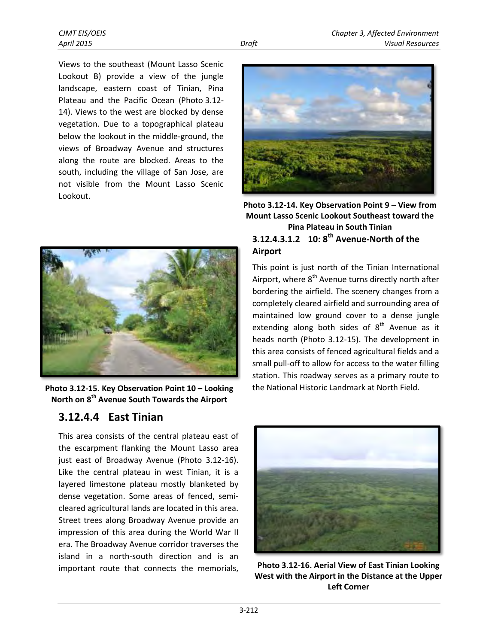Views to the southeast (Mount Lasso Scenic Lookout B) provide a view of the jungle landscape, eastern coast of Tinian, Pina Plateau and the Pacific Ocean (Photo 3.12- 14). Views to the west are blocked by dense vegetation. Due to a topographical plateau below the lookout in the middle-ground, the views of Broadway Avenue and structures along the route are blocked. Areas to the south, including the village of San Jose, are not visible from the Mount Lasso Scenic Lookout.



**Photo 3.12-15. Key Observation Point 10 – Looking North on 8th Avenue South Towards the Airport**

### **3.12.4.4 East Tinian**

This area consists of the central plateau east of the escarpment flanking the Mount Lasso area just east of Broadway Avenue (Photo 3.12-16). Like the central plateau in west Tinian, it is a layered limestone plateau mostly blanketed by dense vegetation. Some areas of fenced, semicleared agricultural lands are located in this area. Street trees along Broadway Avenue provide an impression of this area during the World War II era. The Broadway Avenue corridor traverses the island in a north-south direction and is an important route that connects the memorials,



**Photo 3.12-14. Key Observation Point 9 – View from Mount Lasso Scenic Lookout Southeast toward the Pina Plateau in South Tinian 10: 8th 3.12.4.3.1.2 Avenue-North of the Airport** 

This point is just north of the Tinian International Airport, where  $8<sup>th</sup>$  Avenue turns directly north after bordering the airfield. The scenery changes from a completely cleared airfield and surrounding area of maintained low ground cover to a dense jungle extending along both sides of  $8<sup>th</sup>$  Avenue as it heads north (Photo 3.12-15). The development in this area consists of fenced agricultural fields and a small pull-off to allow for access to the water filling station. This roadway serves as a primary route to the National Historic Landmark at North Field.



**Photo 3.12-16. Aerial View of East Tinian Looking West with the Airport in the Distance at the Upper Left Corner**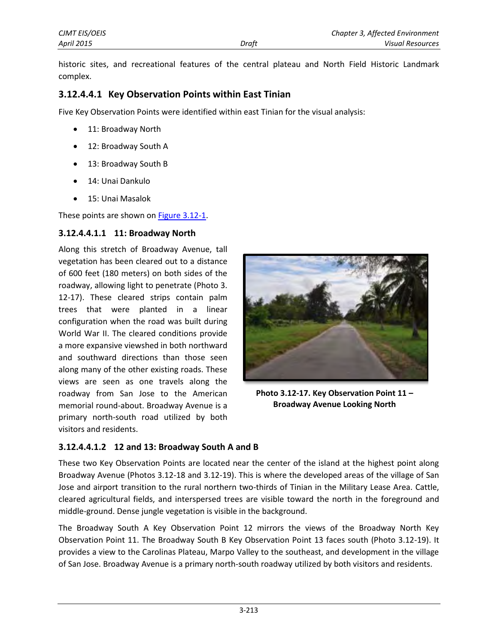historic sites, and recreational features of the central plateau and North Field Historic Landmark complex.

#### **3.12.4.4.1 Key Observation Points within East Tinian**

Five Key Observation Points were identified within east Tinian for the visual analysis:

- 11: Broadway North
- 12: Broadway South A
- 13: Broadway South B
- 14: Unai Dankulo
- 15: Unai Masalok

These points are shown o[n Figure 3.12-1.](#page-2-0)

#### **3.12.4.4.1.1 11: Broadway North**

Along this stretch of Broadway Avenue, tall vegetation has been cleared out to a distance of 600 feet (180 meters) on both sides of the roadway, allowing light to penetrate (Photo 3. 12-17). These cleared strips contain palm trees that were planted in a linear configuration when the road was built during World War II. The cleared conditions provide a more expansive viewshed in both northward and southward directions than those seen along many of the other existing roads. These views are seen as one travels along the roadway from San Jose to the American memorial round-about. Broadway Avenue is a primary north-south road utilized by both visitors and residents.



**Photo 3.12-17. Key Observation Point 11 – Broadway Avenue Looking North**

### **3.12.4.4.1.2 12 and 13: Broadway South A and B**

These two Key Observation Points are located near the center of the island at the highest point along Broadway Avenue (Photos 3.12-18 and 3.12-19). This is where the developed areas of the village of San Jose and airport transition to the rural northern two-thirds of Tinian in the Military Lease Area. Cattle, cleared agricultural fields, and interspersed trees are visible toward the north in the foreground and middle-ground. Dense jungle vegetation is visible in the background.

The Broadway South A Key Observation Point 12 mirrors the views of the Broadway North Key Observation Point 11. The Broadway South B Key Observation Point 13 faces south (Photo 3.12-19). It provides a view to the Carolinas Plateau, Marpo Valley to the southeast, and development in the village of San Jose. Broadway Avenue is a primary north-south roadway utilized by both visitors and residents.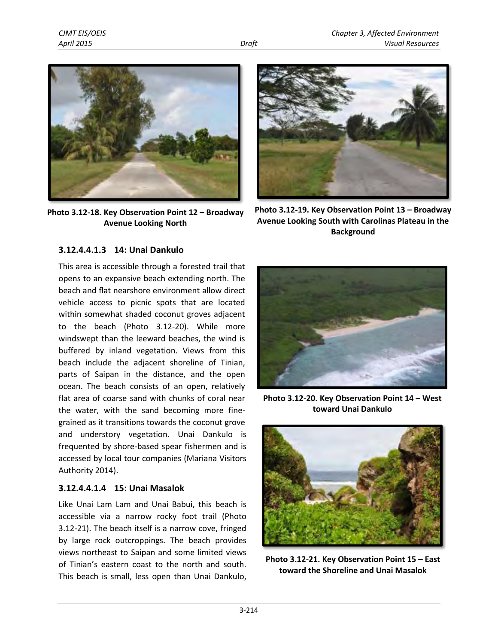

**Photo 3.12-18. Key Observation Point 12 – Broadway Avenue Looking North** 



**Photo 3.12-19. Key Observation Point 13 – Broadway Avenue Looking South with Carolinas Plateau in the Background** 

#### **3.12.4.4.1.3 14: Unai Dankulo**

This area is accessible through a forested trail that opens to an expansive beach extending north. The beach and flat nearshore environment allow direct vehicle access to picnic spots that are located within somewhat shaded coconut groves adjacent to the beach (Photo 3.12-20). While more windswept than the leeward beaches, the wind is buffered by inland vegetation. Views from this beach include the adjacent shoreline of Tinian, parts of Saipan in the distance, and the open ocean. The beach consists of an open, relatively flat area of coarse sand with chunks of coral near the water, with the sand becoming more finegrained as it transitions towards the coconut grove and understory vegetation. Unai Dankulo is frequented by shore-based spear fishermen and is accessed by local tour companies (Mariana Visitors Authority 2014).

#### **3.12.4.4.1.4 15: Unai Masalok**

Like Unai Lam Lam and Unai Babui, this beach is accessible via a narrow rocky foot trail (Photo 3.12-21). The beach itself is a narrow cove, fringed by large rock outcroppings. The beach provides views northeast to Saipan and some limited views of Tinian's eastern coast to the north and south. This beach is small, less open than Unai Dankulo,



**Photo 3.12-20. Key Observation Point 14 – West toward Unai Dankulo**



**Photo 3.12-21. Key Observation Point 15 – East toward the Shoreline and Unai Masalok**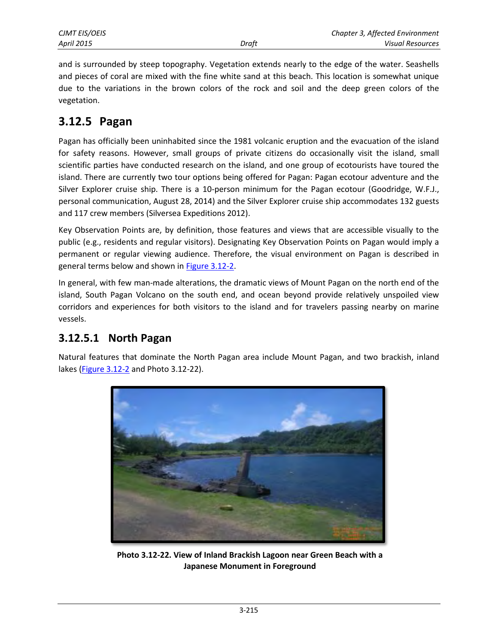and is surrounded by steep topography. Vegetation extends nearly to the edge of the water. Seashells and pieces of coral are mixed with the fine white sand at this beach. This location is somewhat unique due to the variations in the brown colors of the rock and soil and the deep green colors of the vegetation.

# **3.12.5 Pagan**

Pagan has officially been uninhabited since the 1981 volcanic eruption and the evacuation of the island for safety reasons. However, small groups of private citizens do occasionally visit the island, small scientific parties have conducted research on the island, and one group of ecotourists have toured the island. There are currently two tour options being offered for Pagan: Pagan ecotour adventure and the Silver Explorer cruise ship. There is a 10-person minimum for the Pagan ecotour (Goodridge, W.F.J., personal communication, August 28, 2014) and the Silver Explorer cruise ship accommodates 132 guests and 117 crew members (Silversea Expeditions 2012).

Key Observation Points are, by definition, those features and views that are accessible visually to the public (e.g., residents and regular visitors). Designating Key Observation Points on Pagan would imply a permanent or regular viewing audience. Therefore, the visual environment on Pagan is described in general terms below and shown i[n Figure 3.12-2.](#page-13-0)

In general, with few man-made alterations, the dramatic views of Mount Pagan on the north end of the island, South Pagan Volcano on the south end, and ocean beyond provide relatively unspoiled view corridors and experiences for both visitors to the island and for travelers passing nearby on marine vessels.

### **3.12.5.1 North Pagan**

Natural features that dominate the North Pagan area include Mount Pagan, and two brackish, inland lakes [\(Figure 3.12-2](#page-13-0) and Photo 3.12-22).



**Photo 3.12-22. View of Inland Brackish Lagoon near Green Beach with a Japanese Monument in Foreground**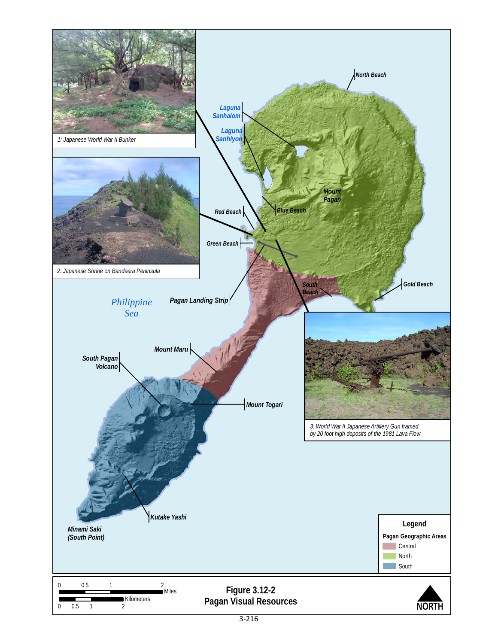<span id="page-13-0"></span>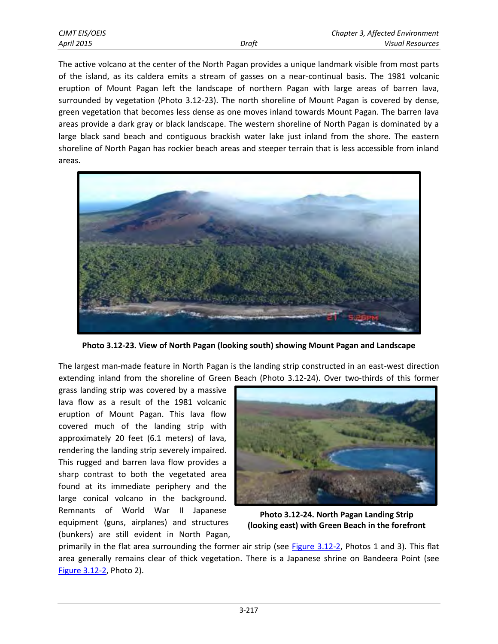| CJMT EIS/OEIS |       | Chapter 3, Affected Environment |
|---------------|-------|---------------------------------|
| April 2015    | Draft | <b>Visual Resources</b>         |

The active volcano at the center of the North Pagan provides a unique landmark visible from most parts of the island, as its caldera emits a stream of gasses on a near-continual basis. The 1981 volcanic eruption of Mount Pagan left the landscape of northern Pagan with large areas of barren lava, surrounded by vegetation (Photo 3.12-23). The north shoreline of Mount Pagan is covered by dense, green vegetation that becomes less dense as one moves inland towards Mount Pagan. The barren lava areas provide a dark gray or black landscape. The western shoreline of North Pagan is dominated by a large black sand beach and contiguous brackish water lake just inland from the shore. The eastern shoreline of North Pagan has rockier beach areas and steeper terrain that is less accessible from inland areas.



**Photo 3.12-23. View of North Pagan (looking south) showing Mount Pagan and Landscape** 

The largest man-made feature in North Pagan is the landing strip constructed in an east-west direction extending inland from the shoreline of Green Beach (Photo 3.12-24). Over two-thirds of this former

grass landing strip was covered by a massive lava flow as a result of the 1981 volcanic eruption of Mount Pagan. This lava flow covered much of the landing strip with approximately 20 feet (6.1 meters) of lava, rendering the landing strip severely impaired. This rugged and barren lava flow provides a sharp contrast to both the vegetated area found at its immediate periphery and the large conical volcano in the background. Remnants of World War II Japanese equipment (guns, airplanes) and structures (bunkers) are still evident in North Pagan,



**Photo 3.12-24. North Pagan Landing Strip (looking east) with Green Beach in the forefront**

primarily in the flat area surrounding the former air strip (see [Figure 3.12-2,](#page-13-0) Photos 1 and 3). This flat area generally remains clear of thick vegetation. There is a Japanese shrine on Bandeera Point (see [Figure 3.12-2,](#page-13-0) Photo 2).